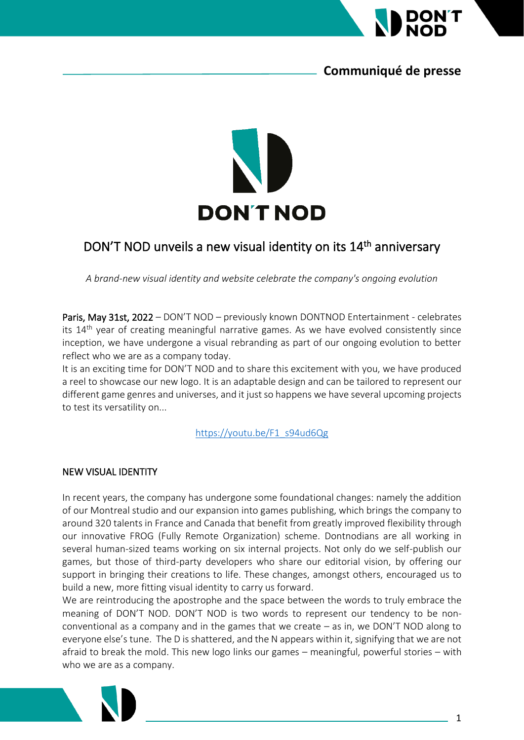

## **Communiqué de presse**



# DON'T NOD unveils a new visual identity on its 14<sup>th</sup> anniversary

*A brand-new visual identity and website celebrate the company's ongoing evolution*

Paris, May 31st, 2022 – DON'T NOD – previously known DONTNOD Entertainment - celebrates its  $14<sup>th</sup>$  year of creating meaningful narrative games. As we have evolved consistently since inception, we have undergone a visual rebranding as part of our ongoing evolution to better reflect who we are as a company today.

It is an exciting time for DON'T NOD and to share this excitement with you, we have produced a reel to showcase our new logo. It is an adaptable design and can be tailored to represent our different game genres and universes, and it just so happens we have several upcoming projects to test its versatility on...

[https://youtu.be/F1\\_s94ud6Qg](https://youtu.be/F1_s94ud6Qg)

### NEW VISUAL IDENTITY

In recent years, the company has undergone some foundational changes: namely the addition of our Montreal studio and our expansion into games publishing, which brings the company to around 320 talents in France and Canada that benefit from greatly improved flexibility through our innovative FROG (Fully Remote Organization) scheme. Dontnodians are all working in several human-sized teams working on six internal projects. Not only do we self-publish our games, but those of third-party developers who share our editorial vision, by offering our support in bringing their creations to life. These changes, amongst others, encouraged us to build a new, more fitting visual identity to carry us forward.

We are reintroducing the apostrophe and the space between the words to truly embrace the meaning of DON'T NOD. DON'T NOD is two words to represent our tendency to be nonconventional as a company and in the games that we create – as in, we DON'T NOD along to everyone else's tune. The D is shattered, and the N appears within it, signifying that we are not afraid to break the mold. This new logo links our games – meaningful, powerful stories – with who we are as a company.